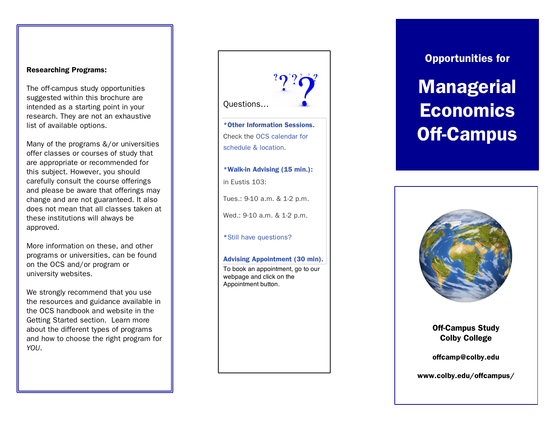#### Researching Programs:

The off-campus study opportunities suggested within this brochure are intended as a starting point in your research. They are not an exhaustive list of available options .

Many of the programs &/or universities offer classes or courses of study that are appropriate or recommended for this subject. However, you should carefully consult the course offerings and please be aware that offerings may change and are not guaranteed. It also does not mean that all classes taken at these institutions will always be approved.

More information on these, and other programs or universities , can be found on the OCS and/or program or university website s.

We strongly recommend that you use the resources and guidance available in the OCS handbook and website in the Getting Started section. Learn more about the different types of programs and how to choose the right program for *YOU*.

Questions… \*Other Information Sessions. Check the OCS calendar for schedule & location . \*Walk -in Advising (15 min.): in Eustis 103: Tues.: 9 -10 a.m. & 1 - 2 p.m. Wed.: 9 -10 a.m. & 1 - 2 p.m. \*Still have questions? Advising Appointment (30 min). To book an appointment, go to our webpage and click on the Appointment button.

Opportunities for

# **Managerial Economics** Off-Campus



Off-Campus Study Colby College

offcamp@colby.edu

www.colby.edu/offcampus/